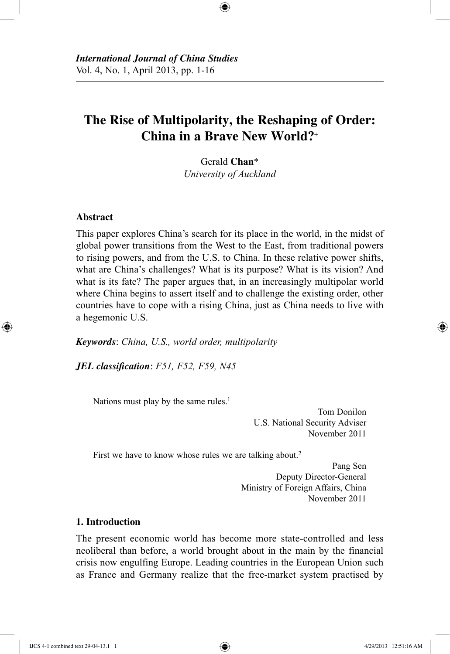# **The Rise of Multipolarity, the Reshaping of Order: China in a Brave New World?**<sup>+</sup>

⊕

Gerald **Chan**\* *University of Auckland*

## **Abstract**

⊕

This paper explores China's search for its place in the world, in the midst of global power transitions from the West to the East, from traditional powers to rising powers, and from the U.S. to China. In these relative power shifts, what are China's challenges? What is its purpose? What is its vision? And what is its fate? The paper argues that, in an increasingly multipolar world where China begins to assert itself and to challenge the existing order, other countries have to cope with a rising China, just as China needs to live with a hegemonic U.S.

*Keywords*: *China, U.S., world order, multipolarity*

*JEL classification*: *F51, F52, F59, N45*

Nations must play by the same rules.<sup>1</sup>

Tom Donilon U.S. National Security Adviser November 2011

First we have to know whose rules we are talking about.<sup>2</sup>

Pang Sen Deputy Director-General Ministry of Foreign Affairs, China November 2011

## **1. Introduction**

The present economic world has become more state-controlled and less neoliberal than before, a world brought about in the main by the financial crisis now engulfing Europe. Leading countries in the European Union such as France and Germany realize that the free-market system practised by

IJCS 4-1 combined text 29-04-13.1 1 4/29/2013 12:51:16 AM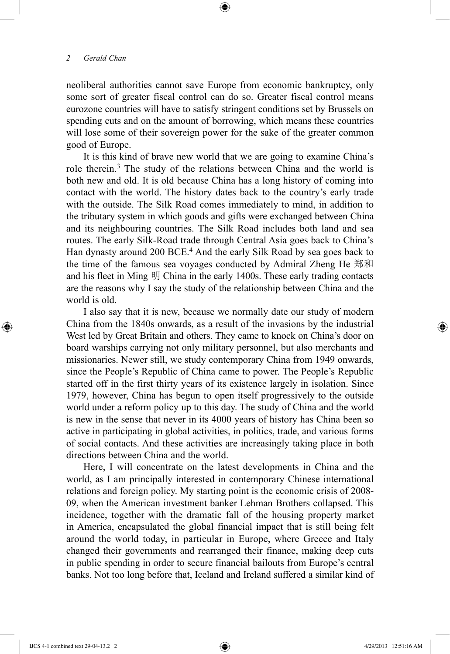neoliberal authorities cannot save Europe from economic bankruptcy, only some sort of greater fiscal control can do so. Greater fiscal control means eurozone countries will have to satisfy stringent conditions set by Brussels on spending cuts and on the amount of borrowing, which means these countries will lose some of their sovereign power for the sake of the greater common good of Europe.

⊕

It is this kind of brave new world that we are going to examine China's role therein.3 The study of the relations between China and the world is both new and old. It is old because China has a long history of coming into contact with the world. The history dates back to the country's early trade with the outside. The Silk Road comes immediately to mind, in addition to the tributary system in which goods and gifts were exchanged between China and its neighbouring countries. The Silk Road includes both land and sea routes. The early Silk-Road trade through Central Asia goes back to China's Han dynasty around 200 BCE.<sup>4</sup> And the early Silk Road by sea goes back to the time of the famous sea voyages conducted by Admiral Zheng He 郑和 and his fleet in Ming 明 China in the early 1400s. These early trading contacts are the reasons why I say the study of the relationship between China and the world is old.

I also say that it is new, because we normally date our study of modern China from the 1840s onwards, as a result of the invasions by the industrial West led by Great Britain and others. They came to knock on China's door on board warships carrying not only military personnel, but also merchants and missionaries. Newer still, we study contemporary China from 1949 onwards, since the People's Republic of China came to power. The People's Republic started off in the first thirty years of its existence largely in isolation. Since 1979, however, China has begun to open itself progressively to the outside world under a reform policy up to this day. The study of China and the world is new in the sense that never in its 4000 years of history has China been so active in participating in global activities, in politics, trade, and various forms of social contacts. And these activities are increasingly taking place in both directions between China and the world.

Here, I will concentrate on the latest developments in China and the world, as I am principally interested in contemporary Chinese international relations and foreign policy. My starting point is the economic crisis of 2008- 09, when the American investment banker Lehman Brothers collapsed. This incidence, together with the dramatic fall of the housing property market in America, encapsulated the global financial impact that is still being felt around the world today, in particular in Europe, where Greece and Italy changed their governments and rearranged their finance, making deep cuts in public spending in order to secure financial bailouts from Europe's central banks. Not too long before that, Iceland and Ireland suffered a similar kind of

⊕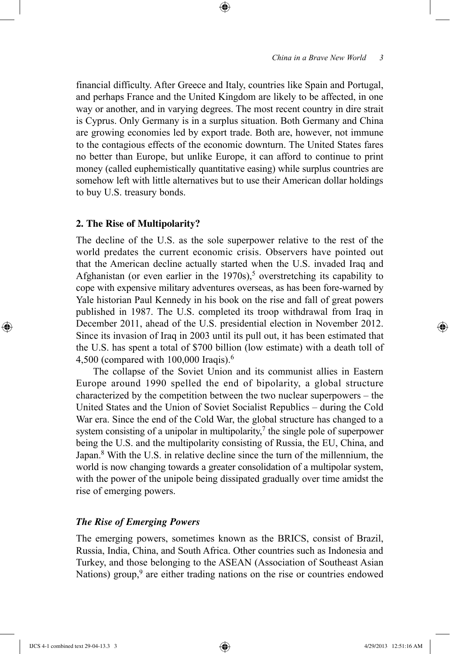financial difficulty. After Greece and Italy, countries like Spain and Portugal, and perhaps France and the United Kingdom are likely to be affected, in one way or another, and in varying degrees. The most recent country in dire strait is Cyprus. Only Germany is in a surplus situation. Both Germany and China are growing economies led by export trade. Both are, however, not immune to the contagious effects of the economic downturn. The United States fares no better than Europe, but unlike Europe, it can afford to continue to print money (called euphemistically quantitative easing) while surplus countries are somehow left with little alternatives but to use their American dollar holdings to buy U.S. treasury bonds.

⊕

# **2. The Rise of Multipolarity?**

The decline of the U.S. as the sole superpower relative to the rest of the world predates the current economic crisis. Observers have pointed out that the American decline actually started when the U.S. invaded Iraq and Afghanistan (or even earlier in the  $1970s$ ),<sup>5</sup> overstretching its capability to cope with expensive military adventures overseas, as has been fore-warned by Yale historian Paul Kennedy in his book on the rise and fall of great powers published in 1987. The U.S. completed its troop withdrawal from Iraq in December 2011, ahead of the U.S. presidential election in November 2012. Since its invasion of Iraq in 2003 until its pull out, it has been estimated that the U.S. has spent a total of \$700 billion (low estimate) with a death toll of 4,500 (compared with 100,000 Iraqis).6

The collapse of the Soviet Union and its communist allies in Eastern Europe around 1990 spelled the end of bipolarity, a global structure characterized by the competition between the two nuclear superpowers – the United States and the Union of Soviet Socialist Republics – during the Cold War era. Since the end of the Cold War, the global structure has changed to a system consisting of a unipolar in multipolarity,<sup>7</sup> the single pole of superpower being the U.S. and the multipolarity consisting of Russia, the EU, China, and Japan.8 With the U.S. in relative decline since the turn of the millennium, the world is now changing towards a greater consolidation of a multipolar system, with the power of the unipole being dissipated gradually over time amidst the rise of emerging powers.

## *The Rise of Emerging Powers*

The emerging powers, sometimes known as the BRICS, consist of Brazil, Russia, India, China, and South Africa. Other countries such as Indonesia and Turkey, and those belonging to the ASEAN (Association of Southeast Asian Nations) group, $9$  are either trading nations on the rise or countries endowed

⊕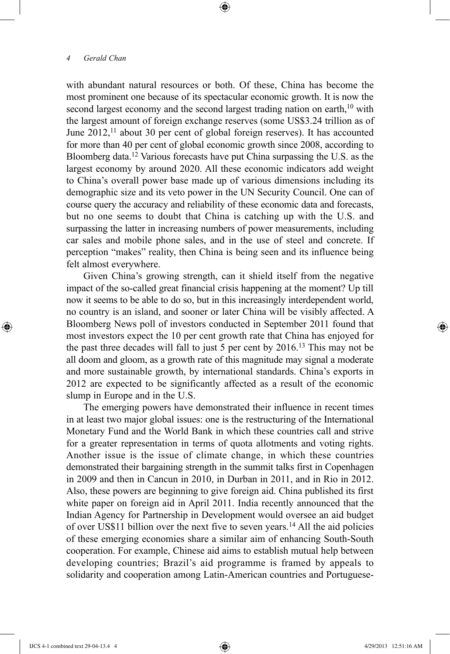with abundant natural resources or both. Of these, China has become the most prominent one because of its spectacular economic growth. It is now the second largest economy and the second largest trading nation on earth,<sup>10</sup> with the largest amount of foreign exchange reserves (some US\$3.24 trillion as of June  $2012$ ,<sup>11</sup> about 30 per cent of global foreign reserves). It has accounted for more than 40 per cent of global economic growth since 2008, according to Bloomberg data.12 Various forecasts have put China surpassing the U.S. as the largest economy by around 2020. All these economic indicators add weight to China's overall power base made up of various dimensions including its demographic size and its veto power in the UN Security Council. One can of course query the accuracy and reliability of these economic data and forecasts, but no one seems to doubt that China is catching up with the U.S. and surpassing the latter in increasing numbers of power measurements, including car sales and mobile phone sales, and in the use of steel and concrete. If perception "makes" reality, then China is being seen and its influence being felt almost everywhere.

⊕

Given China's growing strength, can it shield itself from the negative impact of the so-called great financial crisis happening at the moment? Up till now it seems to be able to do so, but in this increasingly interdependent world, no country is an island, and sooner or later China will be visibly affected. A Bloomberg News poll of investors conducted in September 2011 found that most investors expect the 10 per cent growth rate that China has enjoyed for the past three decades will fall to just 5 per cent by 2016.13 This may not be all doom and gloom, as a growth rate of this magnitude may signal a moderate and more sustainable growth, by international standards. China's exports in 2012 are expected to be significantly affected as a result of the economic slump in Europe and in the U.S.

The emerging powers have demonstrated their influence in recent times in at least two major global issues: one is the restructuring of the International Monetary Fund and the World Bank in which these countries call and strive for a greater representation in terms of quota allotments and voting rights. Another issue is the issue of climate change, in which these countries demonstrated their bargaining strength in the summit talks first in Copenhagen in 2009 and then in Cancun in 2010, in Durban in 2011, and in Rio in 2012. Also, these powers are beginning to give foreign aid. China published its first white paper on foreign aid in April 2011. India recently announced that the Indian Agency for Partnership in Development would oversee an aid budget of over US\$11 billion over the next five to seven years.14 All the aid policies of these emerging economies share a similar aim of enhancing South-South cooperation. For example, Chinese aid aims to establish mutual help between developing countries; Brazil's aid programme is framed by appeals to solidarity and cooperation among Latin-American countries and Portuguese-

⊕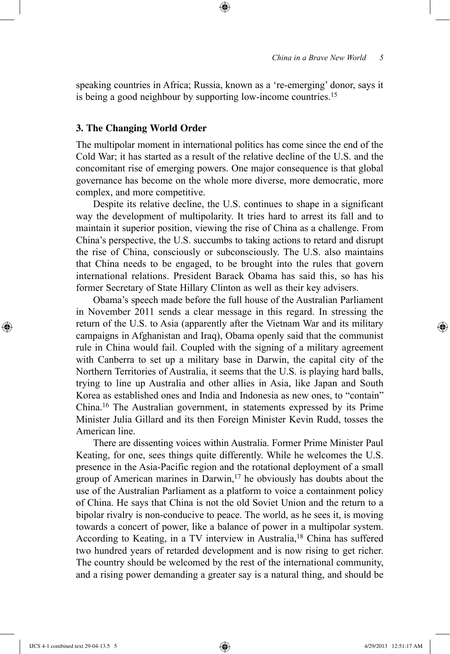speaking countries in Africa; Russia, known as a 're-emerging' donor, says it is being a good neighbour by supporting low-income countries.<sup>15</sup>

⊕

## **3. The Changing World Order**

The multipolar moment in international politics has come since the end of the Cold War; it has started as a result of the relative decline of the U.S. and the concomitant rise of emerging powers. One major consequence is that global governance has become on the whole more diverse, more democratic, more complex, and more competitive.

Despite its relative decline, the U.S. continues to shape in a significant way the development of multipolarity. It tries hard to arrest its fall and to maintain it superior position, viewing the rise of China as a challenge. From China's perspective, the U.S. succumbs to taking actions to retard and disrupt the rise of China, consciously or subconsciously. The U.S. also maintains that China needs to be engaged, to be brought into the rules that govern international relations. President Barack Obama has said this, so has his former Secretary of State Hillary Clinton as well as their key advisers.

Obama's speech made before the full house of the Australian Parliament in November 2011 sends a clear message in this regard. In stressing the return of the U.S. to Asia (apparently after the Vietnam War and its military campaigns in Afghanistan and Iraq), Obama openly said that the communist rule in China would fail. Coupled with the signing of a military agreement with Canberra to set up a military base in Darwin, the capital city of the Northern Territories of Australia, it seems that the U.S. is playing hard balls, trying to line up Australia and other allies in Asia, like Japan and South Korea as established ones and India and Indonesia as new ones, to "contain" China.16 The Australian government, in statements expressed by its Prime Minister Julia Gillard and its then Foreign Minister Kevin Rudd, tosses the American line.

There are dissenting voices within Australia. Former Prime Minister Paul Keating, for one, sees things quite differently. While he welcomes the U.S. presence in the Asia-Pacific region and the rotational deployment of a small group of American marines in Darwin,<sup>17</sup> he obviously has doubts about the use of the Australian Parliament as a platform to voice a containment policy of China. He says that China is not the old Soviet Union and the return to a bipolar rivalry is non-conducive to peace. The world, as he sees it, is moving towards a concert of power, like a balance of power in a multipolar system. According to Keating, in a TV interview in Australia,<sup>18</sup> China has suffered two hundred years of retarded development and is now rising to get richer. The country should be welcomed by the rest of the international community, and a rising power demanding a greater say is a natural thing, and should be

⊕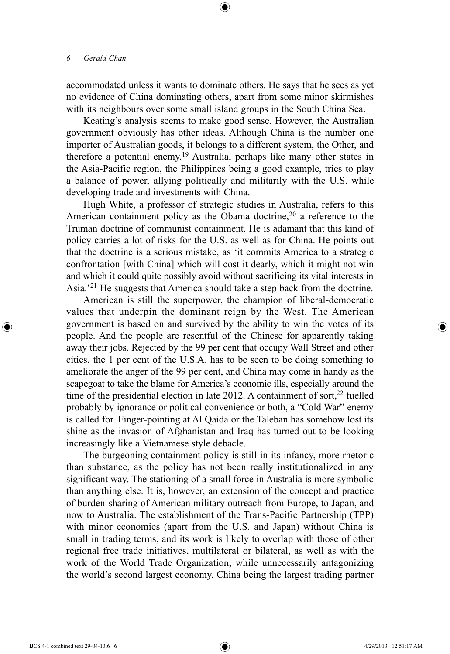accommodated unless it wants to dominate others. He says that he sees as yet no evidence of China dominating others, apart from some minor skirmishes with its neighbours over some small island groups in the South China Sea.

⊕

Keating's analysis seems to make good sense. However, the Australian government obviously has other ideas. Although China is the number one importer of Australian goods, it belongs to a different system, the Other, and therefore a potential enemy.19 Australia, perhaps like many other states in the Asia-Pacific region, the Philippines being a good example, tries to play a balance of power, allying politically and militarily with the U.S. while developing trade and investments with China.

Hugh White, a professor of strategic studies in Australia, refers to this American containment policy as the Obama doctrine,<sup>20</sup> a reference to the Truman doctrine of communist containment. He is adamant that this kind of policy carries a lot of risks for the U.S. as well as for China. He points out that the doctrine is a serious mistake, as 'it commits America to a strategic confrontation [with China] which will cost it dearly, which it might not win and which it could quite possibly avoid without sacrificing its vital interests in Asia.'21 He suggests that America should take a step back from the doctrine.

American is still the superpower, the champion of liberal-democratic values that underpin the dominant reign by the West. The American government is based on and survived by the ability to win the votes of its people. And the people are resentful of the Chinese for apparently taking away their jobs. Rejected by the 99 per cent that occupy Wall Street and other cities, the 1 per cent of the U.S.A. has to be seen to be doing something to ameliorate the anger of the 99 per cent, and China may come in handy as the scapegoat to take the blame for America's economic ills, especially around the time of the presidential election in late 2012. A containment of sort, $22$  fuelled probably by ignorance or political convenience or both, a "Cold War" enemy is called for. Finger-pointing at Al Qaida or the Taleban has somehow lost its shine as the invasion of Afghanistan and Iraq has turned out to be looking increasingly like a Vietnamese style debacle.

The burgeoning containment policy is still in its infancy, more rhetoric than substance, as the policy has not been really institutionalized in any significant way. The stationing of a small force in Australia is more symbolic than anything else. It is, however, an extension of the concept and practice of burden-sharing of American military outreach from Europe, to Japan, and now to Australia. The establishment of the Trans-Pacific Partnership (TPP) with minor economies (apart from the U.S. and Japan) without China is small in trading terms, and its work is likely to overlap with those of other regional free trade initiatives, multilateral or bilateral, as well as with the work of the World Trade Organization, while unnecessarily antagonizing the world's second largest economy. China being the largest trading partner

IJCS 4-1 combined text 29-04-13.6 6 4/29/2013 12:51:17 AM

⊕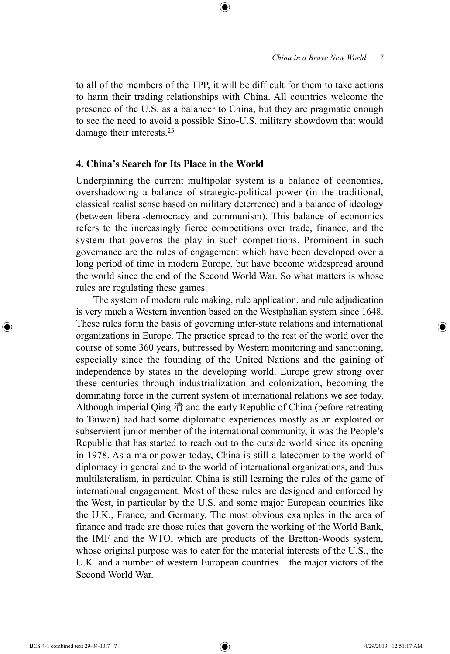to all of the members of the TPP, it will be difficult for them to take actions to harm their trading relationships with China. All countries welcome the presence of the U.S. as a balancer to China, but they are pragmatic enough to see the need to avoid a possible Sino-U.S. military showdown that would damage their interests.23

⊕

# **4. China's Search for Its Place in the World**

Underpinning the current multipolar system is a balance of economics, overshadowing a balance of strategic-political power (in the traditional, classical realist sense based on military deterrence) and a balance of ideology (between liberal-democracy and communism). This balance of economics refers to the increasingly fierce competitions over trade, finance, and the system that governs the play in such competitions. Prominent in such governance are the rules of engagement which have been developed over a long period of time in modern Europe, but have become widespread around the world since the end of the Second World War. So what matters is whose rules are regulating these games.

The system of modern rule making, rule application, and rule adjudication is very much a Western invention based on the Westphalian system since 1648. These rules form the basis of governing inter-state relations and international organizations in Europe. The practice spread to the rest of the world over the course of some 360 years, buttressed by Western monitoring and sanctioning, especially since the founding of the United Nations and the gaining of independence by states in the developing world. Europe grew strong over these centuries through industrialization and colonization, becoming the dominating force in the current system of international relations we see today. Although imperial Qing 清 and the early Republic of China (before retreating to Taiwan) had had some diplomatic experiences mostly as an exploited or subservient junior member of the international community, it was the People's Republic that has started to reach out to the outside world since its opening in 1978. As a major power today, China is still a latecomer to the world of diplomacy in general and to the world of international organizations, and thus multilateralism, in particular. China is still learning the rules of the game of international engagement. Most of these rules are designed and enforced by the West, in particular by the U.S. and some major European countries like the U.K., France, and Germany. The most obvious examples in the area of finance and trade are those rules that govern the working of the World Bank, the IMF and the WTO, which are products of the Bretton-Woods system, whose original purpose was to cater for the material interests of the U.S., the U.K. and a number of western European countries – the major victors of the Second World War.

⊕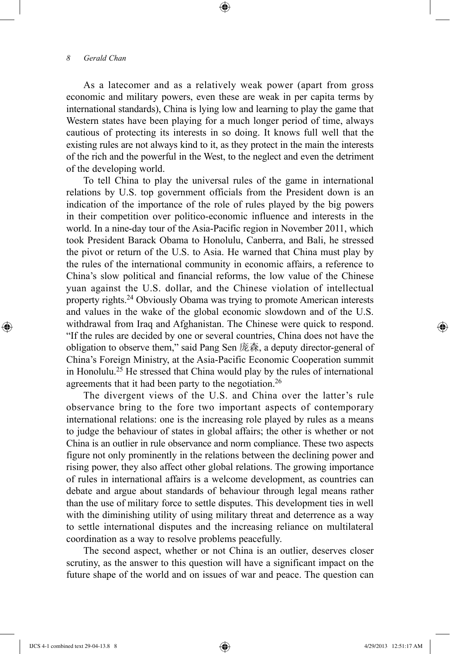As a latecomer and as a relatively weak power (apart from gross economic and military powers, even these are weak in per capita terms by international standards), China is lying low and learning to play the game that Western states have been playing for a much longer period of time, always cautious of protecting its interests in so doing. It knows full well that the existing rules are not always kind to it, as they protect in the main the interests of the rich and the powerful in the West, to the neglect and even the detriment of the developing world.

⊕

To tell China to play the universal rules of the game in international relations by U.S. top government officials from the President down is an indication of the importance of the role of rules played by the big powers in their competition over politico-economic influence and interests in the world. In a nine-day tour of the Asia-Pacific region in November 2011, which took President Barack Obama to Honolulu, Canberra, and Bali, he stressed the pivot or return of the U.S. to Asia. He warned that China must play by the rules of the international community in economic affairs, a reference to China's slow political and financial reforms, the low value of the Chinese yuan against the U.S. dollar, and the Chinese violation of intellectual property rights.24 Obviously Obama was trying to promote American interests and values in the wake of the global economic slowdown and of the U.S. withdrawal from Iraq and Afghanistan. The Chinese were quick to respond. "If the rules are decided by one or several countries, China does not have the obligation to observe them," said Pang Sen 庞森, a deputy director-general of China's Foreign Ministry, at the Asia-Pacific Economic Cooperation summit in Honolulu.25 He stressed that China would play by the rules of international agreements that it had been party to the negotiation.<sup>26</sup>

The divergent views of the U.S. and China over the latter's rule observance bring to the fore two important aspects of contemporary international relations: one is the increasing role played by rules as a means to judge the behaviour of states in global affairs; the other is whether or not China is an outlier in rule observance and norm compliance. These two aspects figure not only prominently in the relations between the declining power and rising power, they also affect other global relations. The growing importance of rules in international affairs is a welcome development, as countries can debate and argue about standards of behaviour through legal means rather than the use of military force to settle disputes. This development ties in well with the diminishing utility of using military threat and deterrence as a way to settle international disputes and the increasing reliance on multilateral coordination as a way to resolve problems peacefully.

The second aspect, whether or not China is an outlier, deserves closer scrutiny, as the answer to this question will have a significant impact on the future shape of the world and on issues of war and peace. The question can

IJCS 4-1 combined text 29-04-13.8 8 4/29/2013 12:51:17 AM

⊕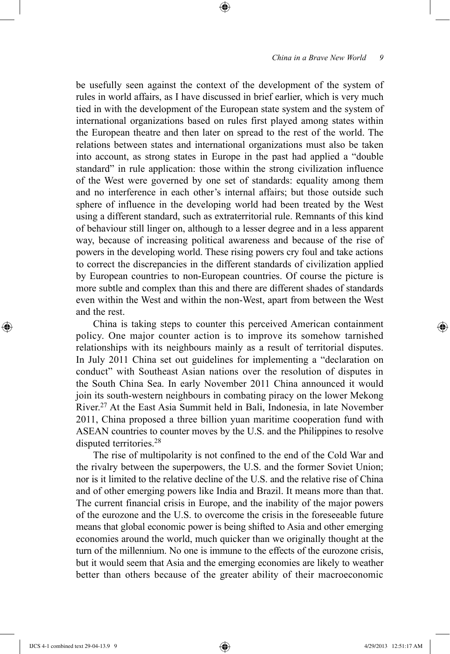be usefully seen against the context of the development of the system of rules in world affairs, as I have discussed in brief earlier, which is very much tied in with the development of the European state system and the system of international organizations based on rules first played among states within the European theatre and then later on spread to the rest of the world. The relations between states and international organizations must also be taken into account, as strong states in Europe in the past had applied a "double standard" in rule application: those within the strong civilization influence of the West were governed by one set of standards: equality among them and no interference in each other's internal affairs; but those outside such sphere of influence in the developing world had been treated by the West using a different standard, such as extraterritorial rule. Remnants of this kind of behaviour still linger on, although to a lesser degree and in a less apparent way, because of increasing political awareness and because of the rise of powers in the developing world. These rising powers cry foul and take actions to correct the discrepancies in the different standards of civilization applied by European countries to non-European countries. Of course the picture is more subtle and complex than this and there are different shades of standards even within the West and within the non-West, apart from between the West and the rest.

⊕

China is taking steps to counter this perceived American containment policy. One major counter action is to improve its somehow tarnished relationships with its neighbours mainly as a result of territorial disputes. In July 2011 China set out guidelines for implementing a "declaration on conduct" with Southeast Asian nations over the resolution of disputes in the South China Sea. In early November 2011 China announced it would join its south-western neighbours in combating piracy on the lower Mekong River.27 At the East Asia Summit held in Bali, Indonesia, in late November 2011, China proposed a three billion yuan maritime cooperation fund with ASEAN countries to counter moves by the U.S. and the Philippines to resolve disputed territories.28

The rise of multipolarity is not confined to the end of the Cold War and the rivalry between the superpowers, the U.S. and the former Soviet Union; nor is it limited to the relative decline of the U.S. and the relative rise of China and of other emerging powers like India and Brazil. It means more than that. The current financial crisis in Europe, and the inability of the major powers of the eurozone and the U.S. to overcome the crisis in the foreseeable future means that global economic power is being shifted to Asia and other emerging economies around the world, much quicker than we originally thought at the turn of the millennium. No one is immune to the effects of the eurozone crisis, but it would seem that Asia and the emerging economies are likely to weather better than others because of the greater ability of their macroeconomic

IJCS 4-1 combined text 29-04-13.9 9 4/29/2013 12:51:17 AM

⊕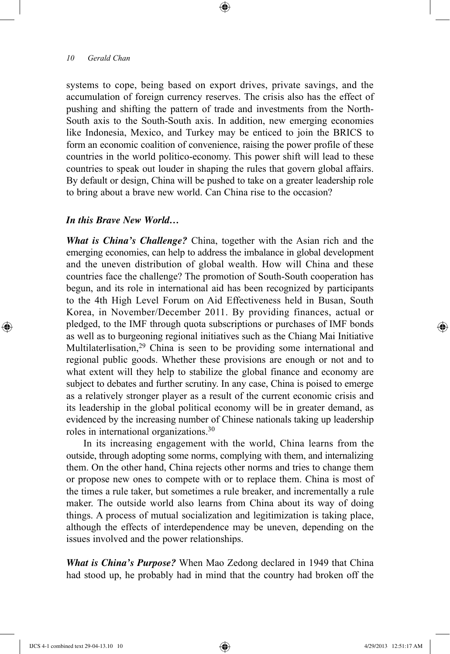systems to cope, being based on export drives, private savings, and the accumulation of foreign currency reserves. The crisis also has the effect of pushing and shifting the pattern of trade and investments from the North-South axis to the South-South axis. In addition, new emerging economies like Indonesia, Mexico, and Turkey may be enticed to join the BRICS to form an economic coalition of convenience, raising the power profile of these countries in the world politico-economy. This power shift will lead to these countries to speak out louder in shaping the rules that govern global affairs. By default or design, China will be pushed to take on a greater leadership role to bring about a brave new world. Can China rise to the occasion?

⊕

#### *In this Brave New World…*

*What is China's Challenge?* China, together with the Asian rich and the emerging economies, can help to address the imbalance in global development and the uneven distribution of global wealth. How will China and these countries face the challenge? The promotion of South-South cooperation has begun, and its role in international aid has been recognized by participants to the 4th High Level Forum on Aid Effectiveness held in Busan, South Korea, in November/December 2011. By providing finances, actual or pledged, to the IMF through quota subscriptions or purchases of IMF bonds as well as to burgeoning regional initiatives such as the Chiang Mai Initiative Multilaterlisation,<sup>29</sup> China is seen to be providing some international and regional public goods. Whether these provisions are enough or not and to what extent will they help to stabilize the global finance and economy are subject to debates and further scrutiny. In any case, China is poised to emerge as a relatively stronger player as a result of the current economic crisis and its leadership in the global political economy will be in greater demand, as evidenced by the increasing number of Chinese nationals taking up leadership roles in international organizations.30

In its increasing engagement with the world, China learns from the outside, through adopting some norms, complying with them, and internalizing them. On the other hand, China rejects other norms and tries to change them or propose new ones to compete with or to replace them. China is most of the times a rule taker, but sometimes a rule breaker, and incrementally a rule maker. The outside world also learns from China about its way of doing things. A process of mutual socialization and legitimization is taking place, although the effects of interdependence may be uneven, depending on the issues involved and the power relationships.

*What is China's Purpose?* When Mao Zedong declared in 1949 that China had stood up, he probably had in mind that the country had broken off the

IJCS 4-1 combined text 29-04-13.10 10 4/29/2013 12:51:17 AM

⊕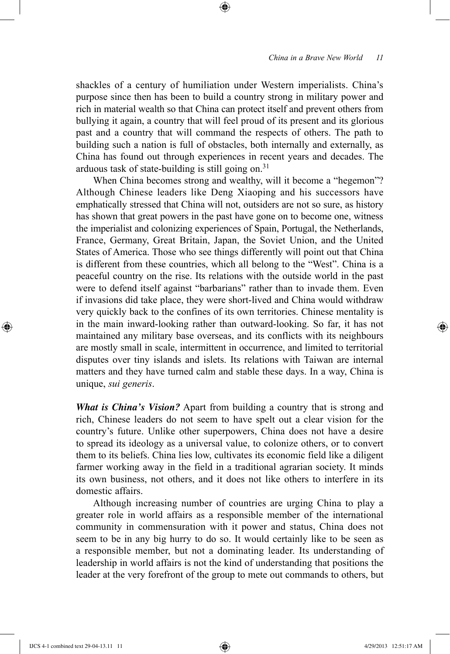shackles of a century of humiliation under Western imperialists. China's purpose since then has been to build a country strong in military power and rich in material wealth so that China can protect itself and prevent others from bullying it again, a country that will feel proud of its present and its glorious past and a country that will command the respects of others. The path to building such a nation is full of obstacles, both internally and externally, as China has found out through experiences in recent years and decades. The arduous task of state-building is still going on.<sup>31</sup>

⊕

When China becomes strong and wealthy, will it become a "hegemon"? Although Chinese leaders like Deng Xiaoping and his successors have emphatically stressed that China will not, outsiders are not so sure, as history has shown that great powers in the past have gone on to become one, witness the imperialist and colonizing experiences of Spain, Portugal, the Netherlands, France, Germany, Great Britain, Japan, the Soviet Union, and the United States of America. Those who see things differently will point out that China is different from these countries, which all belong to the "West". China is a peaceful country on the rise. Its relations with the outside world in the past were to defend itself against "barbarians" rather than to invade them. Even if invasions did take place, they were short-lived and China would withdraw very quickly back to the confines of its own territories. Chinese mentality is in the main inward-looking rather than outward-looking. So far, it has not maintained any military base overseas, and its conflicts with its neighbours are mostly small in scale, intermittent in occurrence, and limited to territorial disputes over tiny islands and islets. Its relations with Taiwan are internal matters and they have turned calm and stable these days. In a way, China is unique, *sui generis*.

*What is China's Vision?* Apart from building a country that is strong and rich, Chinese leaders do not seem to have spelt out a clear vision for the country's future. Unlike other superpowers, China does not have a desire to spread its ideology as a universal value, to colonize others, or to convert them to its beliefs. China lies low, cultivates its economic field like a diligent farmer working away in the field in a traditional agrarian society. It minds its own business, not others, and it does not like others to interfere in its domestic affairs.

Although increasing number of countries are urging China to play a greater role in world affairs as a responsible member of the international community in commensuration with it power and status, China does not seem to be in any big hurry to do so. It would certainly like to be seen as a responsible member, but not a dominating leader. Its understanding of leadership in world affairs is not the kind of understanding that positions the leader at the very forefront of the group to mete out commands to others, but

⊕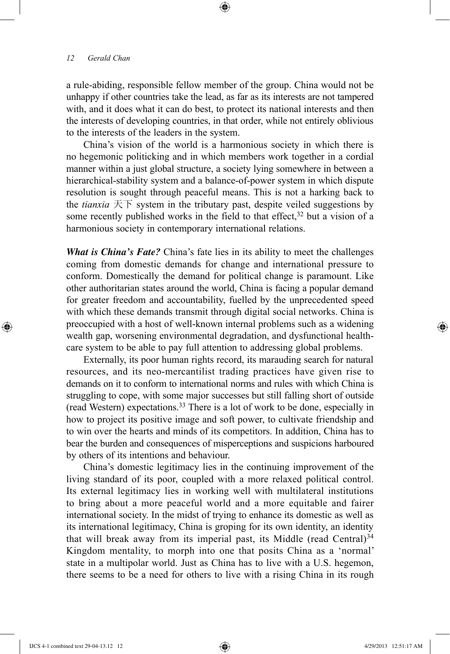a rule-abiding, responsible fellow member of the group. China would not be unhappy if other countries take the lead, as far as its interests are not tampered with, and it does what it can do best, to protect its national interests and then the interests of developing countries, in that order, while not entirely oblivious to the interests of the leaders in the system.

⊕

China's vision of the world is a harmonious society in which there is no hegemonic politicking and in which members work together in a cordial manner within a just global structure, a society lying somewhere in between a hierarchical-stability system and a balance-of-power system in which dispute resolution is sought through peaceful means. This is not a harking back to the *tianxia* 天下 system in the tributary past, despite veiled suggestions by some recently published works in the field to that effect,  $32$  but a vision of a harmonious society in contemporary international relations.

*What is China's Fate?* China's fate lies in its ability to meet the challenges coming from domestic demands for change and international pressure to conform. Domestically the demand for political change is paramount. Like other authoritarian states around the world, China is facing a popular demand for greater freedom and accountability, fuelled by the unprecedented speed with which these demands transmit through digital social networks. China is preoccupied with a host of well-known internal problems such as a widening wealth gap, worsening environmental degradation, and dysfunctional healthcare system to be able to pay full attention to addressing global problems.

Externally, its poor human rights record, its marauding search for natural resources, and its neo-mercantilist trading practices have given rise to demands on it to conform to international norms and rules with which China is struggling to cope, with some major successes but still falling short of outside (read Western) expectations.33 There is a lot of work to be done, especially in how to project its positive image and soft power, to cultivate friendship and to win over the hearts and minds of its competitors. In addition, China has to bear the burden and consequences of misperceptions and suspicions harboured by others of its intentions and behaviour.

China's domestic legitimacy lies in the continuing improvement of the living standard of its poor, coupled with a more relaxed political control. Its external legitimacy lies in working well with multilateral institutions to bring about a more peaceful world and a more equitable and fairer international society. In the midst of trying to enhance its domestic as well as its international legitimacy, China is groping for its own identity, an identity that will break away from its imperial past, its Middle (read Central) $34$ Kingdom mentality, to morph into one that posits China as a 'normal' state in a multipolar world. Just as China has to live with a U.S. hegemon, there seems to be a need for others to live with a rising China in its rough

⊕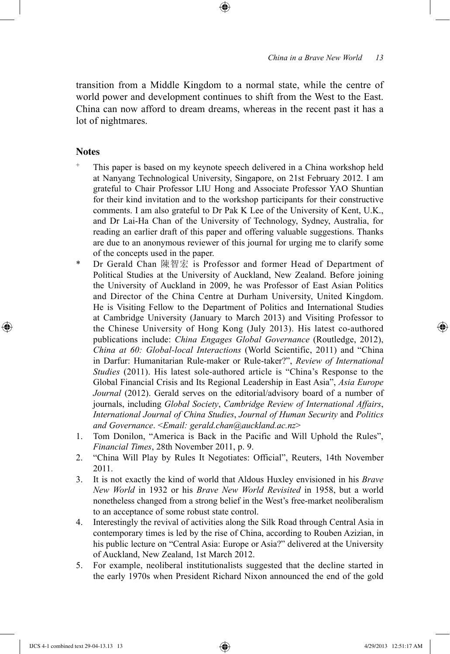transition from a Middle Kingdom to a normal state, while the centre of world power and development continues to shift from the West to the East. China can now afford to dream dreams, whereas in the recent past it has a lot of nightmares.

## **Notes**

 $\bigoplus$ 

- This paper is based on my keynote speech delivered in a China workshop held at Nanyang Technological University, Singapore, on 21st February 2012. I am grateful to Chair Professor LIU Hong and Associate Professor YAO Shuntian for their kind invitation and to the workshop participants for their constructive comments. I am also grateful to Dr Pak K Lee of the University of Kent, U.K., and Dr Lai-Ha Chan of the University of Technology, Sydney, Australia, for reading an earlier draft of this paper and offering valuable suggestions. Thanks are due to an anonymous reviewer of this journal for urging me to clarify some of the concepts used in the paper.
- Dr Gerald Chan 陳智宏 is Professor and former Head of Department of Political Studies at the University of Auckland, New Zealand. Before joining the University of Auckland in 2009, he was Professor of East Asian Politics and Director of the China Centre at Durham University, United Kingdom. He is Visiting Fellow to the Department of Politics and International Studies at Cambridge University (January to March 2013) and Visiting Professor to the Chinese University of Hong Kong (July 2013). His latest co-authored publications include: *China Engages Global Governance* (Routledge, 2012), *China at 60: Global-local Interactions* (World Scientific, 2011) and "China in Darfur: Humanitarian Rule-maker or Rule-taker?", *Review of International Studies* (2011). His latest sole-authored article is "China's Response to the Global Financial Crisis and Its Regional Leadership in East Asia", *Asia Europe Journal* (2012). Gerald serves on the editorial/advisory board of a number of journals, including *Global Society*, *Cambridge Review of International Affairs*, *International Journal of China Studies*, *Journal of Human Security* and *Politics and Governance*. <*Email: gerald.chan@auckland.ac.nz*>
- 1. Tom Donilon, "America is Back in the Pacific and Will Uphold the Rules", *Financial Times*, 28th November 2011, p. 9.
- 2. "China Will Play by Rules It Negotiates: Official", Reuters, 14th November 2011.
- 3. It is not exactly the kind of world that Aldous Huxley envisioned in his *Brave New World* in 1932 or his *Brave New World Revisited* in 1958, but a world nonetheless changed from a strong belief in the West's free-market neoliberalism to an acceptance of some robust state control.
- 4. Interestingly the revival of activities along the Silk Road through Central Asia in contemporary times is led by the rise of China, according to Rouben Azizian, in his public lecture on "Central Asia: Europe or Asia?" delivered at the University of Auckland, New Zealand, 1st March 2012.
- 5. For example, neoliberal institutionalists suggested that the decline started in the early 1970s when President Richard Nixon announced the end of the gold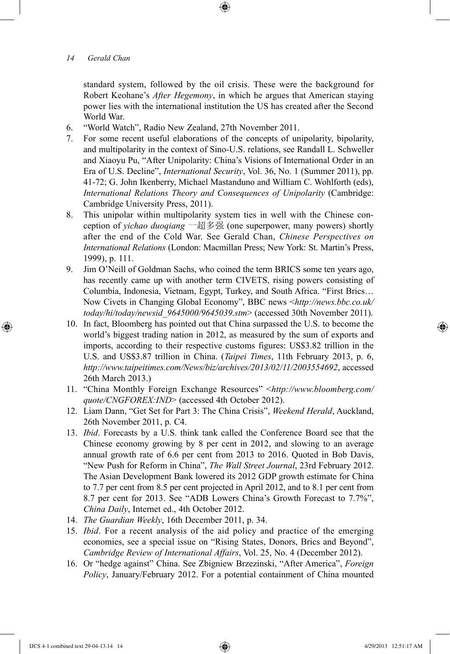standard system, followed by the oil crisis. These were the background for Robert Keohane's *After Hegemony*, in which he argues that American staying power lies with the international institution the US has created after the Second World War.

- 6. "World Watch", Radio New Zealand, 27th November 2011.
- 7. For some recent useful elaborations of the concepts of unipolarity, bipolarity, and multipolarity in the context of Sino-U.S. relations, see Randall L. Schweller and Xiaoyu Pu, "After Unipolarity: China's Visions of International Order in an Era of U.S. Decline", *International Security*, Vol. 36, No. 1 (Summer 2011), pp. 41-72; G. John Ikenberry, Michael Mastanduno and William C. Wohlforth (eds), *International Relations Theory and Consequences of Unipolarity* (Cambridge: Cambridge University Press, 2011).
- 8. This unipolar within multipolarity system ties in well with the Chinese conception of *yichao duoqiang* 一超多强 (one superpower, many powers) shortly after the end of the Cold War. See Gerald Chan, *Chinese Perspectives on International Relations* (London: Macmillan Press; New York: St. Martin's Press, 1999), p. 111.
- 9. Jim O'Neill of Goldman Sachs, who coined the term BRICS some ten years ago, has recently came up with another term CIVETS, rising powers consisting of Columbia, Indonesia, Vietnam, Egypt, Turkey, and South Africa. "First Brics… Now Civets in Changing Global Economy", BBC news <*http://news.bbc.co.uk/ today/hi/today/newsid\_9645000/9645039.stm*> (accessed 30th November 2011).
- 10. In fact, Bloomberg has pointed out that China surpassed the U.S. to become the world's biggest trading nation in 2012, as measured by the sum of exports and imports, according to their respective customs figures: US\$3.82 trillion in the U.S. and US\$3.87 trillion in China. (*Taipei Times*, 11th February 2013, p. 6, *http://www.taipeitimes.com/News/biz/archives/2013/02/11/2003554692*, accessed 26th March 2013.)
- 11. "China Monthly Foreign Exchange Resources" <*http://www.bloomberg.com/ quote/CNGFOREX:IND*> (accessed 4th October 2012).
- 12. Liam Dann, "Get Set for Part 3: The China Crisis", *Weekend Herald*, Auckland, 26th November 2011, p. C4.
- 13. *Ibid*. Forecasts by a U.S. think tank called the Conference Board see that the Chinese economy growing by 8 per cent in 2012, and slowing to an average annual growth rate of 6.6 per cent from 2013 to 2016. Quoted in Bob Davis, "New Push for Reform in China", *The Wall Street Journal*, 23rd February 2012. The Asian Development Bank lowered its 2012 GDP growth estimate for China to 7.7 per cent from 8.5 per cent projected in April 2012, and to 8.1 per cent from 8.7 per cent for 2013. See "ADB Lowers China's Growth Forecast to 7.7%", *China Daily*, Internet ed., 4th October 2012.
- 14. *The Guardian Weekly*, 16th December 2011, p. 34.
- 15. *Ibid*. For a recent analysis of the aid policy and practice of the emerging economies, see a special issue on "Rising States, Donors, Brics and Beyond", *Cambridge Review of International Affairs*, Vol. 25, No. 4 (December 2012).
- 16. Or "hedge against" China. See Zbigniew Brzezinski, "After America", *Foreign Policy*, January/February 2012. For a potential containment of China mounted

IJCS 4-1 combined text 29-04-13.14 14  $\bigoplus$ 

⊕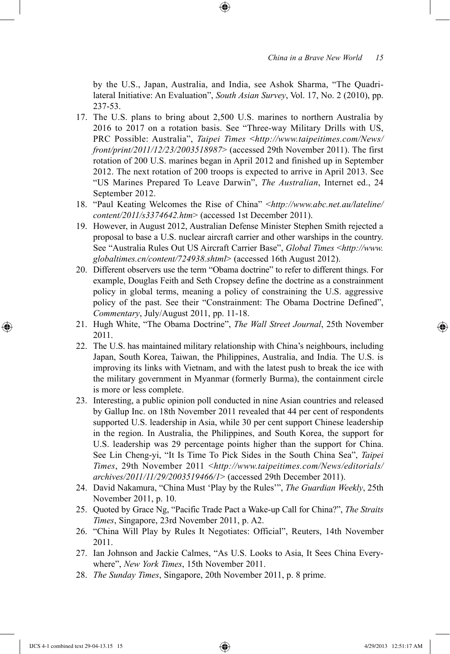by the U.S., Japan, Australia, and India, see Ashok Sharma, "The Quadrilateral Initiative: An Evaluation", *South Asian Survey*, Vol. 17, No. 2 (2010), pp. 237-53.

- 17. The U.S. plans to bring about 2,500 U.S. marines to northern Australia by 2016 to 2017 on a rotation basis. See "Three-way Military Drills with US, PRC Possible: Australia", *Taipei Times* <*http://www.taipeitimes.com/News/ front/print/2011/12/23/2003518987*> (accessed 29th November 2011). The first rotation of 200 U.S. marines began in April 2012 and finished up in September 2012. The next rotation of 200 troops is expected to arrive in April 2013. See "US Marines Prepared To Leave Darwin", *The Australian*, Internet ed., 24 September 2012.
- 18. "Paul Keating Welcomes the Rise of China" <*http://www.abc.net.au/lateline/ content/2011/s3374642.htm*> (accessed 1st December 2011).
- 19. However, in August 2012, Australian Defense Minister Stephen Smith rejected a proposal to base a U.S. nuclear aircraft carrier and other warships in the country. See "Australia Rules Out US Aircraft Carrier Base", *Global Times* <*http://www. globaltimes.cn/content/724938.shtml*> (accessed 16th August 2012).
- 20. Different observers use the term "Obama doctrine" to refer to different things. For example, Douglas Feith and Seth Cropsey define the doctrine as a constrainment policy in global terms, meaning a policy of constraining the U.S. aggressive policy of the past. See their "Constrainment: The Obama Doctrine Defined", *Commentary*, July/August 2011, pp. 11-18.
- 21. Hugh White, "The Obama Doctrine", *The Wall Street Journal*, 25th November 2011.
- 22. The U.S. has maintained military relationship with China's neighbours, including Japan, South Korea, Taiwan, the Philippines, Australia, and India. The U.S. is improving its links with Vietnam, and with the latest push to break the ice with the military government in Myanmar (formerly Burma), the containment circle is more or less complete.
- 23. Interesting, a public opinion poll conducted in nine Asian countries and released by Gallup Inc. on 18th November 2011 revealed that 44 per cent of respondents supported U.S. leadership in Asia, while 30 per cent support Chinese leadership in the region. In Australia, the Philippines, and South Korea, the support for U.S. leadership was 29 percentage points higher than the support for China. See Lin Cheng-yi, "It Is Time To Pick Sides in the South China Sea", *Taipei Times*, 29th November 2011 <*http://www.taipeitimes.com/News/editorials/ archives/2011/11/29/2003519466/1*> (accessed 29th December 2011).
- 24. David Nakamura, "China Must 'Play by the Rules'", *The Guardian Weekly*, 25th November 2011, p. 10.
- 25. Quoted by Grace Ng, "Pacific Trade Pact a Wake-up Call for China?", *The Straits Times*, Singapore, 23rd November 2011, p. A2.
- 26. "China Will Play by Rules It Negotiates: Official", Reuters, 14th November 2011.
- 27. Ian Johnson and Jackie Calmes, "As U.S. Looks to Asia, It Sees China Everywhere", *New York Times*, 15th November 2011.
- 28. *The Sunday Times*, Singapore, 20th November 2011, p. 8 prime.

IJCS 4-1 combined text 29-04-13.15 15 4/29/2013 12:51:17 AM

⊕